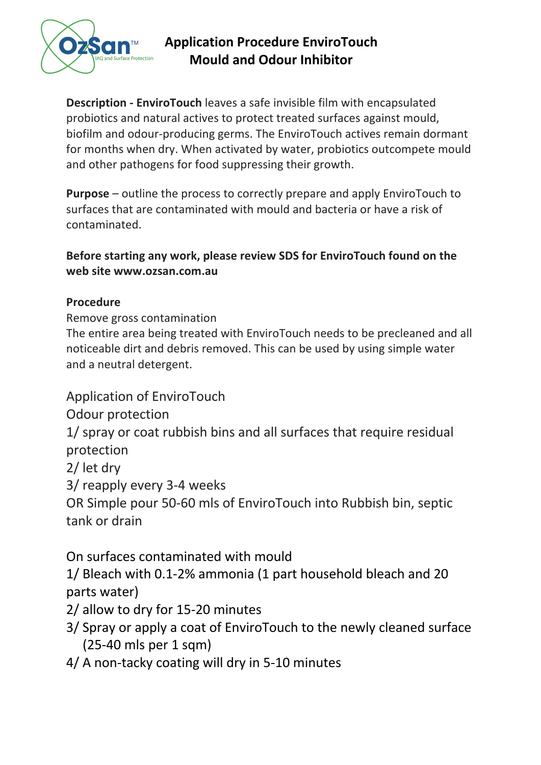

## **Application Procedure EnviroTouch Mould and Odour Inhibitor**

**Description - EnviroTouch** leaves a safe invisible film with encapsulated probiotics and natural actives to protect treated surfaces against mould, biofilm and odour-producing germs. The EnviroTouch actives remain dormant for months when dry. When activated by water, probiotics outcompete mould and other pathogens for food suppressing their growth.

**Purpose** – outline the process to correctly prepare and apply EnviroTouch to surfaces that are contaminated with mould and bacteria or have a risk of contaminated.

**Before starting any work, please review SDS for EnviroTouch found on the web site www.ozsan.com.au**

## **Procedure**

Remove gross contamination

The entire area being treated with EnviroTouch needs to be precleaned and all noticeable dirt and debris removed. This can be used by using simple water and a neutral detergent.

Application of EnviroTouch

Odour protection

1/ spray or coat rubbish bins and all surfaces that require residual protection

2/ let dry

3/ reapply every 3-4 weeks

OR Simple pour 50-60 mls of EnviroTouch into Rubbish bin, septic tank or drain

On surfaces contaminated with mould

1/ Bleach with 0.1-2% ammonia (1 part household bleach and 20 parts water)

2/ allow to dry for 15-20 minutes

- 3/ Spray or apply a coat of EnviroTouch to the newly cleaned surface (25-40 mls per 1 sqm)
- 4/ A non-tacky coating will dry in 5-10 minutes